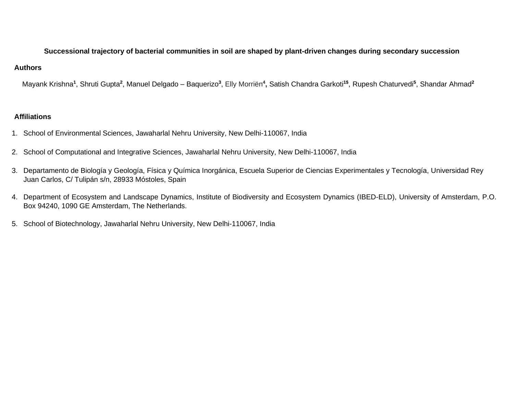## **Successional trajectory of bacterial communities in soil are shaped by plant-driven changes during secondary succession**

## **Authors**

Mayank Krishna**<sup>1</sup>** , Shruti Gupta**<sup>2</sup>** , Manuel Delgado – Baquerizo**<sup>3</sup>** , Elly Morriën**<sup>4</sup> ,** Satish Chandra Garkoti**1\$** , Rupesh Chaturvedi**<sup>5</sup>** , Shandar Ahmad**<sup>2</sup>**

## **Affiliations**

- 1. School of Environmental Sciences, Jawaharlal Nehru University, New Delhi-110067, India
- 2. School of Computational and Integrative Sciences, Jawaharlal Nehru University, New Delhi-110067, India
- 3. Departamento de Biología y Geología, Física y Química Inorgánica, Escuela Superior de Ciencias Experimentales y Tecnología, Universidad Rey Juan Carlos, C/ Tulipán s/n, 28933 Móstoles, Spain
- 4. Department of Ecosystem and Landscape Dynamics, Institute of Biodiversity and Ecosystem Dynamics (IBED-ELD), University of Amsterdam, P.O. Box 94240, 1090 GE Amsterdam, The Netherlands.
- 5. School of Biotechnology, Jawaharlal Nehru University, New Delhi-110067, India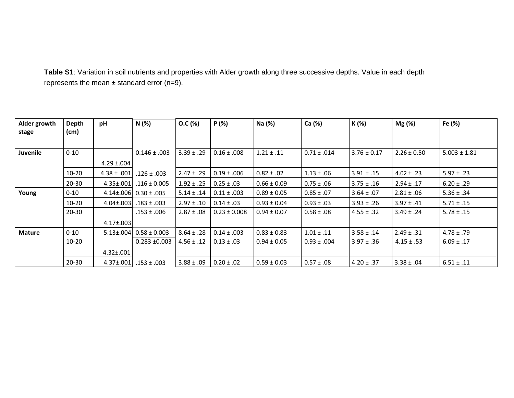**Table S1**: Variation in soil nutrients and properties with Alder growth along three successive depths. Value in each depth represents the mean  $\pm$  standard error (n=9).

| Alder growth    | Depth     | pH               | N(%)                             | O.C (%)        | P(%)             | Na (%)          | Ca (%)          | K (%)           | Mg (%)          | Fe (%)           |
|-----------------|-----------|------------------|----------------------------------|----------------|------------------|-----------------|-----------------|-----------------|-----------------|------------------|
| stage           | (cm)      |                  |                                  |                |                  |                 |                 |                 |                 |                  |
|                 |           |                  |                                  |                |                  |                 |                 |                 |                 |                  |
| <b>Juvenile</b> | $0 - 10$  |                  | $0.146 \pm .003$                 | $3.39 \pm .29$ | $0.16 \pm .008$  | $1.21 \pm .11$  | $0.71 \pm .014$ | $3.76 \pm 0.17$ | $2.26 \pm 0.50$ | $5.003 \pm 1.81$ |
|                 |           | $4.29 \pm 0.004$ |                                  |                |                  |                 |                 |                 |                 |                  |
|                 | $10 - 20$ | $4.38 \pm .001$  | $.126 \pm .003$                  | $2.47 \pm .29$ | $0.19 \pm .006$  | $0.82 \pm .02$  | $1.13 \pm .06$  | $3.91 \pm .15$  | $4.02 \pm .23$  | $5.97 \pm .23$   |
|                 | $20 - 30$ | $4.35 \pm .001$  | $.116 \pm 0.005$                 | $1.92 \pm .25$ | $0.25 \pm .03$   | $0.66 \pm 0.09$ | $0.75 \pm .06$  | $3.75 \pm .16$  | $2.94 \pm .17$  | $6.20 \pm .29$   |
| Young           | $0 - 10$  |                  | 4.14±.006 0.30 ± .005            | $5.14 \pm .14$ | $0.11 \pm .003$  | $0.89 \pm 0.05$ | $0.85 \pm .07$  | $3.64 \pm .07$  | $2.81 \pm .06$  | $5.36 \pm .34$   |
|                 | $10 - 20$ | $4.04 \pm 0.003$ | $.183 \pm .003$                  | $2.97 \pm .10$ | $0.14 \pm .03$   | $0.93 \pm 0.04$ | $0.93 \pm .03$  | $3.93 \pm .26$  | $3.97 \pm .41$  | $5.71 \pm .15$   |
|                 | $20 - 30$ |                  | $.153 \pm .006$                  | $2.87 \pm .08$ | $0.23 \pm 0.008$ | $0.94 \pm 0.07$ | $0.58 \pm .08$  | $4.55 \pm .32$  | $3.49 \pm .24$  | $5.78 \pm .15$   |
|                 |           | $4.17 \pm 0.003$ |                                  |                |                  |                 |                 |                 |                 |                  |
| <b>Mature</b>   | $0 - 10$  |                  | $5.13 \pm 0.04$ 0.58 $\pm$ 0.003 | $8.64 \pm .28$ | $0.14 \pm .003$  | $0.83 \pm 0.83$ | $1.01 \pm .11$  | $3.58 \pm .14$  | $2.49 \pm .31$  | $4.78 \pm .79$   |
|                 | $10 - 20$ |                  | $0.283 + 0.003$                  | $4.56 \pm .12$ | $0.13 \pm .03$   | $0.94 \pm 0.05$ | $0.93 \pm .004$ | $3.97 \pm .36$  | $4.15 \pm .53$  | $6.09 \pm .17$   |
|                 |           | $4.32 \pm .001$  |                                  |                |                  |                 |                 |                 |                 |                  |
|                 | $20 - 30$ | $4.37 \pm 0.001$ | $.153 \pm .003$                  | $3.88 \pm .09$ | $0.20 \pm .02$   | $0.59 \pm 0.03$ | $0.57 \pm .08$  | $4.20 \pm .37$  | $3.38 \pm .04$  | $6.51 \pm .11$   |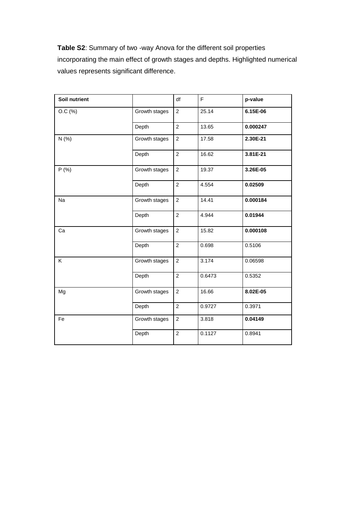**Table S2**: Summary of two -way Anova for the different soil properties incorporating the main effect of growth stages and depths. Highlighted numerical values represents significant difference.

| Soil nutrient |               | df             | F      | p-value  |
|---------------|---------------|----------------|--------|----------|
| $O.C.$ (%)    | Growth stages |                | 25.14  | 6.15E-06 |
|               | Depth         | $\overline{2}$ | 13.65  | 0.000247 |
| N(% )         | Growth stages | $\overline{2}$ | 17.58  | 2.30E-21 |
|               | Depth         | $\overline{2}$ | 16.62  | 3.81E-21 |
| P(% )         | Growth stages | $\overline{2}$ | 19.37  | 3.26E-05 |
|               | Depth         | $\overline{2}$ | 4.554  | 0.02509  |
| Na            | Growth stages | $\overline{2}$ | 14.41  | 0.000184 |
|               | Depth         | $\overline{2}$ | 4.944  | 0.01944  |
| Ca            | Growth stages | $\overline{2}$ | 15.82  | 0.000108 |
|               | Depth         | $\overline{2}$ | 0.698  | 0.5106   |
| Κ             | Growth stages | $\overline{2}$ | 3.174  | 0.06598  |
|               | Depth         | $\overline{2}$ | 0.6473 | 0.5352   |
| Mg            | Growth stages | $\overline{2}$ | 16.66  | 8.02E-05 |
|               | Depth         | $\overline{2}$ | 0.9727 | 0.3971   |
| Fe            | Growth stages | $\overline{2}$ | 3.818  | 0.04149  |
|               | Depth         | $\overline{2}$ | 0.1127 | 0.8941   |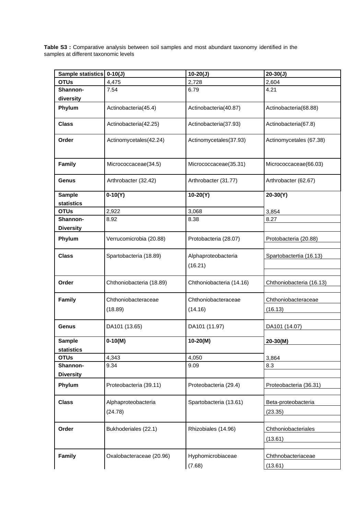**Table S3 :** Comparative analysis between soil samples and most abundant taxonomy identified in the samples at different taxonomic levels

| Sample statistics   0-10(J) |                          | $10-20(J)$                     | $20-30(J)$               |
|-----------------------------|--------------------------|--------------------------------|--------------------------|
| <b>OTUs</b>                 | 4,475                    | 2,728                          | 2,604                    |
| Shannon-                    | 7.54                     | 6.79                           | 4.21                     |
| diversity                   |                          |                                |                          |
| Phylum                      | Actinobacteria(45.4)     | Actinobacteria(40.87)          | Actinobacteria(68.88)    |
| <b>Class</b>                | Actinobacteria(42.25)    | Actinobacteria(37.93)          | Actinobacteria(67.8)     |
| Order                       | Actinomycetales(42.24)   | Actinomycetales(37.93)         | Actinomycetales (67.38)  |
| Family                      | Micrococcaceae(34.5)     | Micrococcaceae(35.31)          | Micrococcaceae(66.03)    |
| Genus                       | Arthrobacter (32.42)     | Arthrobacter (31.77)           | Arthrobacter (62.67)     |
| <b>Sample</b>               | $0-10(Y)$                | $10-20(Y)$                     | $20-30(Y)$               |
| statistics                  |                          |                                |                          |
| <b>OTUs</b>                 | 2,922                    | 3,068                          | 3,854                    |
| Shannon-                    | 8.92                     | 8.38                           | 8.27                     |
| <b>Diversity</b>            |                          |                                |                          |
| Phylum                      | Verrucomicrobia (20.88)  | Protobacteria (28.07)          | Protobacteria (20.88)    |
| <b>Class</b>                | Spartobacteria (18.89)   | Alphaproteobacteria<br>(16.21) | Spartobactertia (16.13)  |
| Order                       | Chthoniobacteria (18.89) | Chthoniobacteria (14.16)       | Chthoniobacteria (16.13) |
| Family                      | Chthoniobacteraceae      | Chthoniobacteraceae            | Chthoniobacteraceae      |
|                             | (18.89)                  | (14.16)                        | (16.13)                  |
| Genus                       | DA101 (13.65)            | DA101 (11.97)                  | DA101 (14.07)            |
| <b>Sample</b>               | $0-10(M)$                | $10-20(M)$                     | $20-30(M)$               |
| statistics                  |                          |                                |                          |
| <b>OTUs</b>                 | 4,343                    | 4,050                          | 3,864                    |
| Shannon-                    | 9.34                     | 9.09                           | 8.3                      |
| <b>Diversity</b>            |                          |                                |                          |
| Phylum                      | Proteobacteria (39.11)   | Proteobacteria (29.4)          | Proteobacteria (36.31)   |
| <b>Class</b>                | Alphaproteobacteria      | Spartobacteria (13.61)         | Beta-proteobacteria      |
|                             | (24.78)                  |                                | (23.35)                  |
| Order                       | Bukhoderiales (22.1)     | Rhizobiales (14.96)            | Chthoniobacteriales      |
|                             |                          |                                | (13.61)                  |
| Family                      | Oxalobacteraceae (20.96) | Hyphomicrobiaceae              | Chthnobacteriaceae       |
|                             |                          | (7.68)                         | (13.61)                  |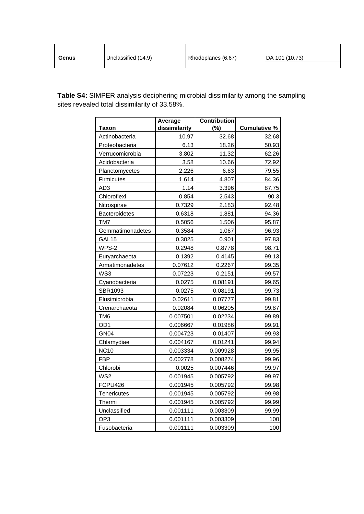| Genus | Unclassified (14.9) | Rhodoplanes (6.67) | DA 101 (10.73) |
|-------|---------------------|--------------------|----------------|
|       |                     |                    |                |

**Table S4:** SIMPER analysis deciphering microbial dissimilarity among the sampling sites revealed total dissimilarity of 33.58%.

|                      | Average       | <b>Contribution</b> |                     |
|----------------------|---------------|---------------------|---------------------|
| <b>Taxon</b>         | dissimilarity | (%)                 | <b>Cumulative %</b> |
| Actinobacteria       | 10.97         | 32.68               | 32.68               |
| Proteobacteria       | 6.13          | 18.26               | 50.93               |
| Verrucomicrobia      | 3.802         | 11.32               | 62.26               |
| Acidobacteria        | 3.58          | 10.66               | 72.92               |
| Planctomycetes       | 2.226         | 6.63                | 79.55               |
| Firmicutes           | 1.614         | 4.807               | 84.36               |
| AD3                  | 1.14          | 3.396               | 87.75               |
| Chloroflexi          | 0.854         | 2.543               | 90.3                |
| Nitrospirae          | 0.7329        | 2.183               | 92.48               |
| <b>Bacteroidetes</b> | 0.6318        | 1.881               | 94.36               |
| TM7                  | 0.5056        | 1.506               | 95.87               |
| Gemmatimonadetes     | 0.3584        | 1.067               | 96.93               |
| GAL15                | 0.3025        | 0.901               | 97.83               |
| WPS-2                | 0.2948        | 0.8778              | 98.71               |
| Euryarchaeota        | 0.1392        | 0.4145              | 99.13               |
| Armatimonadetes      | 0.07612       | 0.2267              | 99.35               |
| WS3                  | 0.07223       | 0.2151              | 99.57               |
| Cyanobacteria        | 0.0275        | 0.08191             | 99.65               |
| SBR1093              | 0.0275        | 0.08191             | 99.73               |
| Elusimicrobia        | 0.02611       | 0.07777             | 99.81               |
| Crenarchaeota        | 0.02084       | 0.06205             | 99.87               |
| TM <sub>6</sub>      | 0.007501      | 0.02234             | 99.89               |
| OD <sub>1</sub>      | 0.006667      | 0.01986             | 99.91               |
| GN <sub>04</sub>     | 0.004723      | 0.01407             | 99.93               |
| Chlamydiae           | 0.004167      | 0.01241             | 99.94               |
| <b>NC10</b>          | 0.003334      | 0.009928            | 99.95               |
| <b>FBP</b>           | 0.002778      | 0.008274            | 99.96               |
| Chlorobi             | 0.0025        | 0.007446            | 99.97               |
| WS <sub>2</sub>      | 0.001945      | 0.005792            | 99.97               |
| FCPU426              | 0.001945      | 0.005792            | 99.98               |
| Tenericutes          | 0.001945      | 0.005792            | 99.98               |
| Thermi               | 0.001945      | 0.005792            | 99.99               |
| Unclassified         | 0.001111      | 0.003309            | 99.99               |
| OP <sub>3</sub>      | 0.001111      | 0.003309            | 100                 |
| Fusobacteria         | 0.001111      | 0.003309            | 100                 |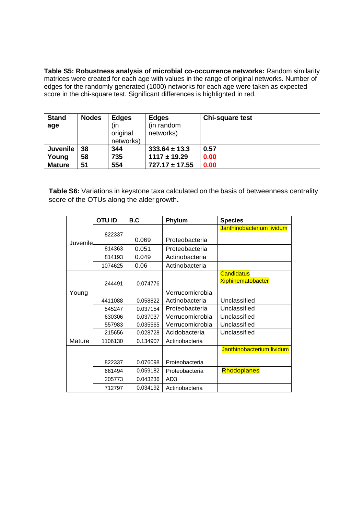**Table S5: Robustness analysis of microbial co-occurrence networks:** Random similarity matrices were created for each age with values in the range of original networks. Number of edges for the randomly generated (1000) networks for each age were taken as expected score in the chi-square test. Significant differences is highlighted in red.

| <b>Stand</b><br>age | <b>Nodes</b> | <b>Edges</b><br>(in<br>original<br>networks) | <b>Edges</b><br>(in random<br>networks) | <b>Chi-square test</b> |
|---------------------|--------------|----------------------------------------------|-----------------------------------------|------------------------|
| <b>Juvenile</b>     | 38           | 344                                          | $333.64 \pm 13.3$                       | 0.57                   |
| Young               | 58           | 735                                          | $1117 \pm 19.29$                        | 0.00                   |
| <b>Mature</b>       | 51           | 554                                          | $727.17 \pm 17.55$                      | 0.00                   |

**Table S6:** Variations in keystone taxa calculated on the basis of betweenness centrality score of the OTUs along the alder growth**.**

|           | <b>OTU ID</b> | B.C      | Phylum          | <b>Species</b>             |
|-----------|---------------|----------|-----------------|----------------------------|
|           |               |          |                 | Janthinobacterium lividum  |
| Juvenilel | 822337        | 0.069    | Proteobacteria  |                            |
|           | 814363        | 0.051    | Proteobacteria  |                            |
|           | 814193        | 0.049    | Actinobacteria  |                            |
|           | 1074625       | 0.06     | Actinobacteria  |                            |
|           |               |          |                 | <b>Candidatus</b>          |
|           | 244491        | 0.074776 |                 | <b>Xiphinematobacter</b>   |
| Young     |               |          | Verrucomicrobia |                            |
|           | 4411088       | 0.058822 | Actinobacteria  | Unclassified               |
|           | 545247        | 0.037154 | Proteobacteria  | Unclassified               |
|           | 630306        | 0.037037 | Verrucomicrobia | Unclassified               |
|           | 557983        | 0.035565 | Verrucomicrobia | Unclassified               |
|           | 215656        | 0.028728 | Acidobacteria   | Unclassified               |
| Mature    | 1106130       | 0.134907 | Actinobacteria  |                            |
|           |               |          |                 | Janthinobacterium; lividum |
|           | 822337        | 0.076098 | Proteobacteria  |                            |
|           | 661494        | 0.059182 | Proteobacteria  | Rhodoplanes                |
|           | 205773        | 0.043236 | AD <sub>3</sub> |                            |
|           | 712797        | 0.034192 | Actinobacteria  |                            |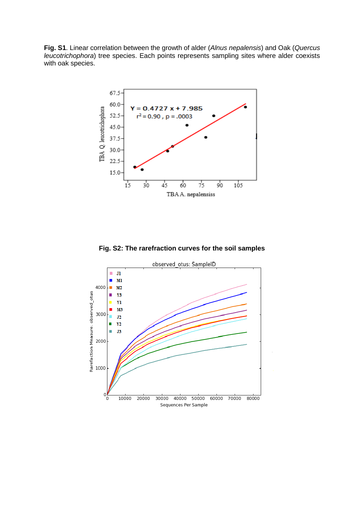**Fig. S1**. Linear correlation between the growth of alder (*Alnus nepalensis*) and Oak (*Quercus leucotrichophora*) tree species. Each points represents sampling sites where alder coexists with oak species.



**Fig. S2: The rarefraction curves for the soil samples**

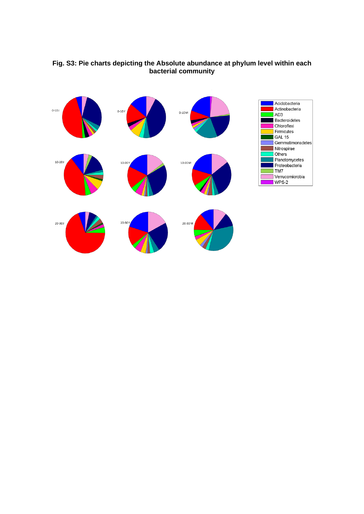

## **Fig. S3: Pie charts depicting the Absolute abundance at phylum level within each bacterial community**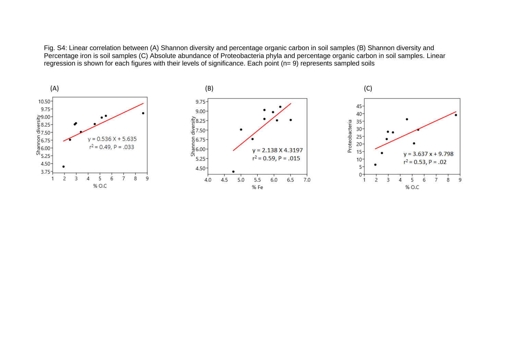Fig. S4: Linear correlation between (A) Shannon diversity and percentage organic carbon in soil samples (B) Shannon diversity and Percentage iron is soil samples (C) Absolute abundance of Proteobacteria phyla and percentage organic carbon in soil samples. Linear regression is shown for each figures with their levels of significance. Each point (n= 9) represents sampled soils

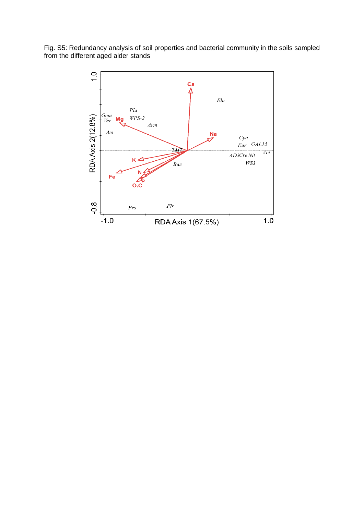Fig. S5: Redundancy analysis of soil properties and bacterial community in the soils sampled from the different aged alder stands